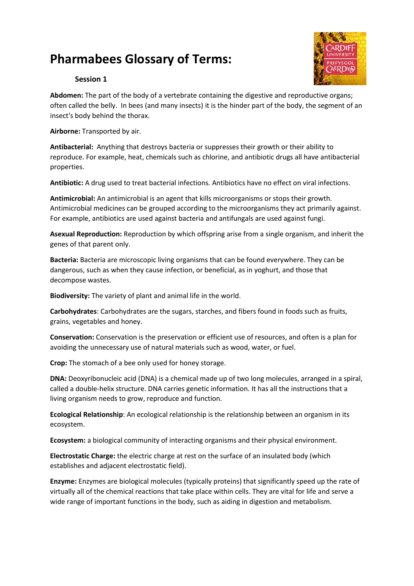## **Pharmabees Glossary of Terms:**



## **Session 1**

**Abdomen:** The part of the body of a vertebrate containing the digestive and reproductive organs; often called the belly. In bees (and many insects) it is the hinder part of the body, the segment of an insect's body behind the thorax.

**Airborne:** Transported by air.

**Antibacterial:** Anything that destroys bacteria or suppresses their growth or their ability to reproduce. For example, heat, chemicals such as chlorine, and antibiotic drugs all have antibacterial properties.

**Antibiotic:** A drug used to treat bacterial infections. Antibiotics have no effect on viral infections.

**Antimicrobial:** An antimicrobial is an agent that kills microorganisms or stops their growth. Antimicrobial medicines can be grouped according to the microorganisms they act primarily against. For example, antibiotics are used against bacteria and antifungals are used against fungi.

**Asexual Reproduction:** Reproduction by which offspring arise from a single organism, and inherit the genes of that parent only.

**Bacteria:** Bacteria are microscopic living organisms that can be found everywhere. They can be dangerous, such as when they cause infection, or beneficial, as in yoghurt, and those that decompose wastes.

**Biodiversity:** The variety of plant and animal life in the world.

**Carbohydrates**: Carbohydrates are the sugars, starches, and fibers found in foods such as fruits, grains, vegetables and honey.

**Conservation:** Conservation is the preservation or efficient use of resources, and often is a plan for avoiding the unnecessary use of natural materials such as wood, water, or fuel.

**Crop:** The stomach of a bee only used for honey storage.

**DNA:** Deoxyribonucleic acid (DNA) is a chemical made up of two long molecules, arranged in a spiral, called a double-helix structure. DNA carries genetic information. It has all the instructions that a living organism needs to grow, reproduce and function.

**Ecological Relationship**: An ecological relationship is the relationship between an organism in its ecosystem.

**Ecosystem:** a biological community of interacting organisms and their physical environment.

**Electrostatic Charge:** the electric charge at rest on the surface of an insulated body (which establishes and adjacent electrostatic field).

**Enzyme:** Enzymes are biological molecules (typically proteins) that significantly speed up the rate of virtually all of the chemical reactions that take place within cells. They are vital for life and serve a wide range of important functions in the body, such as aiding in digestion and metabolism.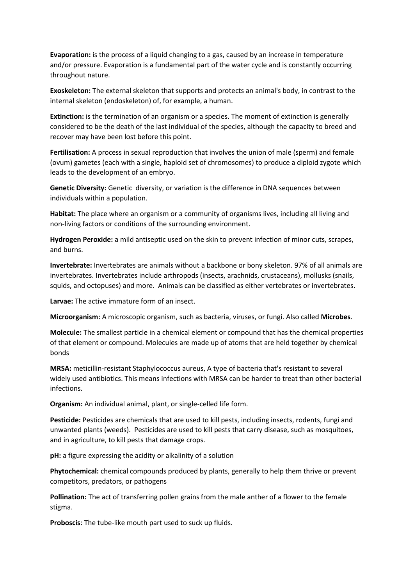**Evaporation:** is the process of a liquid changing to a gas, caused by an increase in temperature and/or pressure. Evaporation is a fundamental part of the water cycle and is constantly occurring throughout nature.

**Exoskeleton:** The external skeleton that supports and protects an animal's body, in contrast to the internal skeleton (endoskeleton) of, for example, a human.

**Extinction:** is the termination of an organism or a species. The moment of extinction is generally considered to be the death of the last individual of the species, although the capacity to breed and recover may have been lost before this point.

**Fertilisation:** A process in sexual reproduction that involves the union of male (sperm) and female (ovum) gametes (each with a single, haploid set of chromosomes) to produce a diploid zygote which leads to the development of an embryo.

**Genetic Diversity:** Genetic diversity, or variation is the difference in DNA sequences between individuals within a population.

**Habitat:** The place where an organism or a community of organisms lives, including all living and non-living factors or conditions of the surrounding environment.

**Hydrogen Peroxide:** a mild antiseptic used on the skin to prevent infection of minor cuts, scrapes, and burns.

**Invertebrate:** Invertebrates are animals without a backbone or bony skeleton. 97% of all animals are invertebrates. Invertebrates include arthropods (insects, arachnids, crustaceans), mollusks (snails, squids, and octopuses) and more. Animals can be classified as either vertebrates or invertebrates.

**Larvae:** The active immature form of an insect.

**Microorganism:** A microscopic organism, such as bacteria, viruses, or fungi. Also called **Microbes**.

**Molecule:** The smallest particle in a chemical element or compound that has the chemical properties of that element or compound. Molecules are made up of atoms that are held together by chemical bonds

**MRSA:** meticillin-resistant Staphylococcus aureus, A type of bacteria that's resistant to several widely used antibiotics. This means infections with MRSA can be harder to treat than other bacterial infections.

**Organism:** An individual animal, plant, or single-celled life form.

**Pesticide:** Pesticides are chemicals that are used to kill pests, including insects, rodents, fungi and unwanted plants (weeds). Pesticides are used to kill pests that carry disease, such as mosquitoes, and in agriculture, to kill pests that damage crops.

**pH:** a figure expressing the acidity or alkalinity of a solution

**Phytochemical:** chemical compounds produced by plants, generally to help them thrive or prevent competitors, predators, or pathogens

**Pollination:** The act of transferring pollen grains from the male anther of a flower to the female stigma.

**Proboscis**: The tube-like mouth part used to suck up fluids.